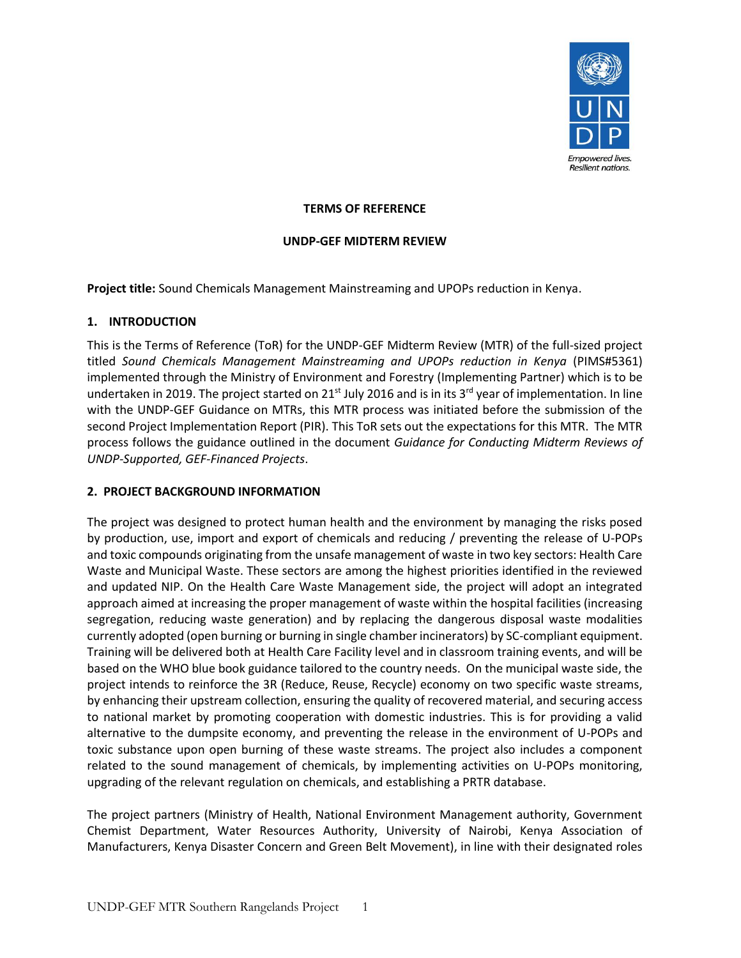

#### **TERMS OF REFERENCE**

#### **UNDP-GEF MIDTERM REVIEW**

**Project title:** Sound Chemicals Management Mainstreaming and UPOPs reduction in Kenya.

### **1. INTRODUCTION**

This is the Terms of Reference (ToR) for the UNDP-GEF Midterm Review (MTR) of the full-sized project titled *Sound Chemicals Management Mainstreaming and UPOPs reduction in Kenya* (PIMS#5361) implemented through the Ministry of Environment and Forestry (Implementing Partner) which is to be undertaken in 2019. The project started on 21<sup>st</sup> July 2016 and is in its 3<sup>rd</sup> year of implementation. In line with the UNDP-GEF Guidance on MTRs, this MTR process was initiated before the submission of the second Project Implementation Report (PIR). This ToR sets out the expectations for this MTR. The MTR process follows the guidance outlined in the document *Guidance for Conducting Midterm Reviews of UNDP-Supported, GEF-Financed Projects*.

### **2. PROJECT BACKGROUND INFORMATION**

The project was designed to protect human health and the environment by managing the risks posed by production, use, import and export of chemicals and reducing / preventing the release of U-POPs and toxic compounds originating from the unsafe management of waste in two key sectors: Health Care Waste and Municipal Waste. These sectors are among the highest priorities identified in the reviewed and updated NIP. On the Health Care Waste Management side, the project will adopt an integrated approach aimed at increasing the proper management of waste within the hospital facilities (increasing segregation, reducing waste generation) and by replacing the dangerous disposal waste modalities currently adopted (open burning or burning in single chamber incinerators) by SC-compliant equipment. Training will be delivered both at Health Care Facility level and in classroom training events, and will be based on the WHO blue book guidance tailored to the country needs. On the municipal waste side, the project intends to reinforce the 3R (Reduce, Reuse, Recycle) economy on two specific waste streams, by enhancing their upstream collection, ensuring the quality of recovered material, and securing access to national market by promoting cooperation with domestic industries. This is for providing a valid alternative to the dumpsite economy, and preventing the release in the environment of U-POPs and toxic substance upon open burning of these waste streams. The project also includes a component related to the sound management of chemicals, by implementing activities on U-POPs monitoring, upgrading of the relevant regulation on chemicals, and establishing a PRTR database.

The project partners (Ministry of Health, National Environment Management authority, Government Chemist Department, Water Resources Authority, University of Nairobi, Kenya Association of Manufacturers, Kenya Disaster Concern and Green Belt Movement), in line with their designated roles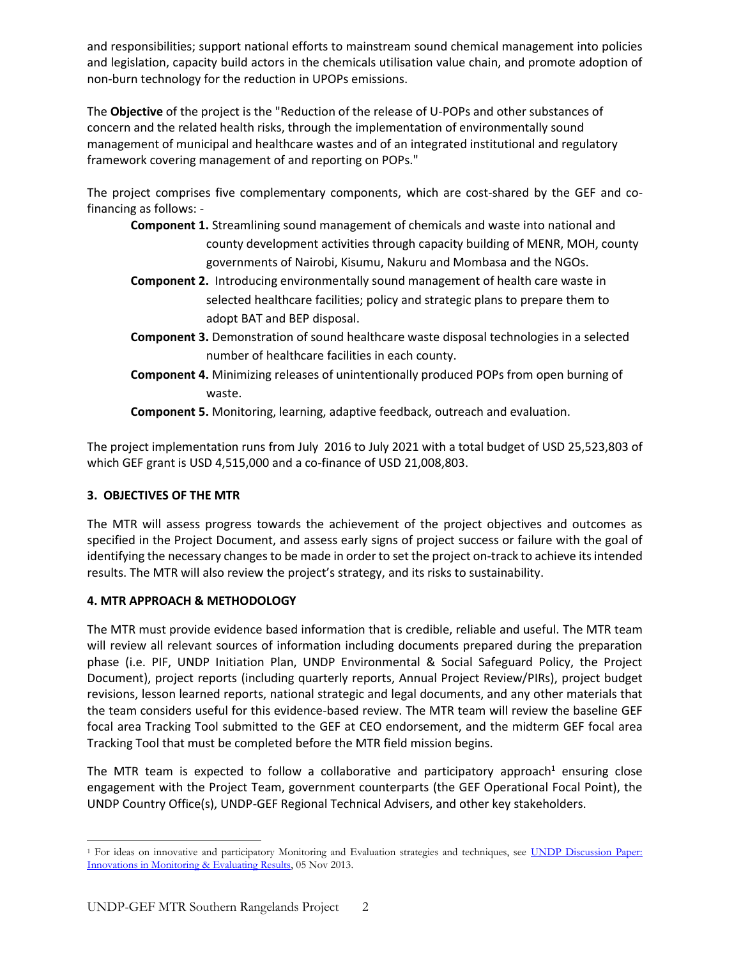and responsibilities; support national efforts to mainstream sound chemical management into policies and legislation, capacity build actors in the chemicals utilisation value chain, and promote adoption of non-burn technology for the reduction in UPOPs emissions.

The **Objective** of the project is the "Reduction of the release of U-POPs and other substances of concern and the related health risks, through the implementation of environmentally sound management of municipal and healthcare wastes and of an integrated institutional and regulatory framework covering management of and reporting on POPs."

The project comprises five complementary components, which are cost-shared by the GEF and cofinancing as follows: -

- **Component 1.** Streamlining sound management of chemicals and waste into national and county development activities through capacity building of MENR, MOH, county governments of Nairobi, Kisumu, Nakuru and Mombasa and the NGOs.
- **Component 2.** Introducing environmentally sound management of health care waste in selected healthcare facilities; policy and strategic plans to prepare them to adopt BAT and BEP disposal.
- **Component 3.** Demonstration of sound healthcare waste disposal technologies in a selected number of healthcare facilities in each county.
- **Component 4.** Minimizing releases of unintentionally produced POPs from open burning of waste.

**Component 5.** Monitoring, learning, adaptive feedback, outreach and evaluation.

The project implementation runs from July 2016 to July 2021 with a total budget of USD 25,523,803 of which GEF grant is USD 4,515,000 and a co-finance of USD 21,008,803.

# **3. OBJECTIVES OF THE MTR**

The MTR will assess progress towards the achievement of the project objectives and outcomes as specified in the Project Document, and assess early signs of project success or failure with the goal of identifying the necessary changes to be made in order to set the project on-track to achieve its intended results. The MTR will also review the project's strategy, and its risks to sustainability.

## **4. MTR APPROACH & METHODOLOGY**

The MTR must provide evidence based information that is credible, reliable and useful. The MTR team will review all relevant sources of information including documents prepared during the preparation phase (i.e. PIF, UNDP Initiation Plan, UNDP Environmental & Social Safeguard Policy, the Project Document), project reports (including quarterly reports, Annual Project Review/PIRs), project budget revisions, lesson learned reports, national strategic and legal documents, and any other materials that the team considers useful for this evidence-based review. The MTR team will review the baseline GEF focal area Tracking Tool submitted to the GEF at CEO endorsement, and the midterm GEF focal area Tracking Tool that must be completed before the MTR field mission begins.

The MTR team is expected to follow a collaborative and participatory approach<sup>1</sup> ensuring close engagement with the Project Team, government counterparts (the GEF Operational Focal Point), the UNDP Country Office(s), UNDP-GEF Regional Technical Advisers, and other key stakeholders.

 $\overline{\phantom{a}}$ <sup>1</sup> For ideas on innovative and participatory Monitoring and Evaluation strategies and techniques, see UNDP Discussion Paper: [Innovations in Monitoring & Evaluating Results,](http://www.undp.org/content/undp/en/home/librarypage/capacity-building/discussion-paper--innovations-in-monitoring---evaluating-results/) 05 Nov 2013.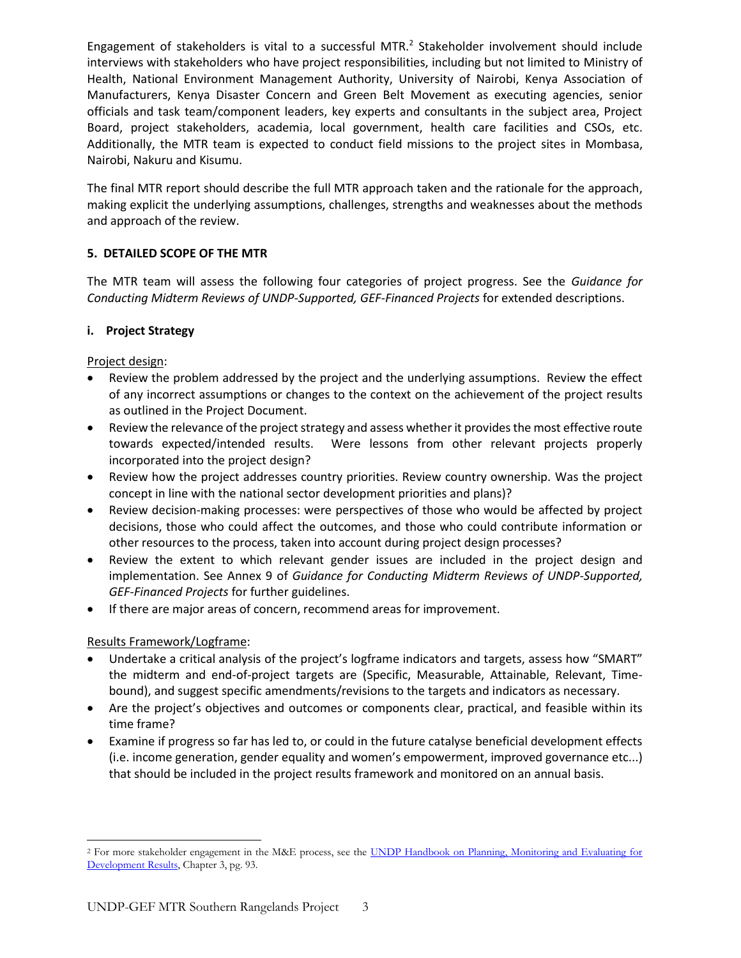Engagement of stakeholders is vital to a successful MTR. $<sup>2</sup>$  Stakeholder involvement should include</sup> interviews with stakeholders who have project responsibilities, including but not limited to Ministry of Health, National Environment Management Authority, University of Nairobi, Kenya Association of Manufacturers, Kenya Disaster Concern and Green Belt Movement as executing agencies, senior officials and task team/component leaders, key experts and consultants in the subject area, Project Board, project stakeholders, academia, local government, health care facilities and CSOs, etc. Additionally, the MTR team is expected to conduct field missions to the project sites in Mombasa, Nairobi, Nakuru and Kisumu.

The final MTR report should describe the full MTR approach taken and the rationale for the approach, making explicit the underlying assumptions, challenges, strengths and weaknesses about the methods and approach of the review.

### **5. DETAILED SCOPE OF THE MTR**

The MTR team will assess the following four categories of project progress. See the *Guidance for Conducting Midterm Reviews of UNDP-Supported, GEF-Financed Projects* for extended descriptions.

### **i. Project Strategy**

Project design:

- Review the problem addressed by the project and the underlying assumptions. Review the effect of any incorrect assumptions or changes to the context on the achievement of the project results as outlined in the Project Document.
- Review the relevance of the project strategy and assess whether it provides the most effective route towards expected/intended results. Were lessons from other relevant projects properly incorporated into the project design?
- Review how the project addresses country priorities. Review country ownership. Was the project concept in line with the national sector development priorities and plans)?
- Review decision-making processes: were perspectives of those who would be affected by project decisions, those who could affect the outcomes, and those who could contribute information or other resources to the process, taken into account during project design processes?
- Review the extent to which relevant gender issues are included in the project design and implementation. See Annex 9 of *Guidance for Conducting Midterm Reviews of UNDP-Supported, GEF-Financed Projects* for further guidelines.
- If there are major areas of concern, recommend areas for improvement.

## Results Framework/Logframe:

- Undertake a critical analysis of the project's logframe indicators and targets, assess how "SMART" the midterm and end-of-project targets are (Specific, Measurable, Attainable, Relevant, Timebound), and suggest specific amendments/revisions to the targets and indicators as necessary.
- Are the project's objectives and outcomes or components clear, practical, and feasible within its time frame?
- Examine if progress so far has led to, or could in the future catalyse beneficial development effects (i.e. income generation, gender equality and women's empowerment, improved governance etc...) that should be included in the project results framework and monitored on an annual basis.

 $\overline{\phantom{a}}$ <sup>2</sup> For more stakeholder engagement in the M&E process, see the UNDP Handbook on Planning, Monitoring and Evaluating for [Development Results,](http://www.undg.org/docs/11653/UNDP-PME-Handbook-(2009).pdf) Chapter 3, pg. 93.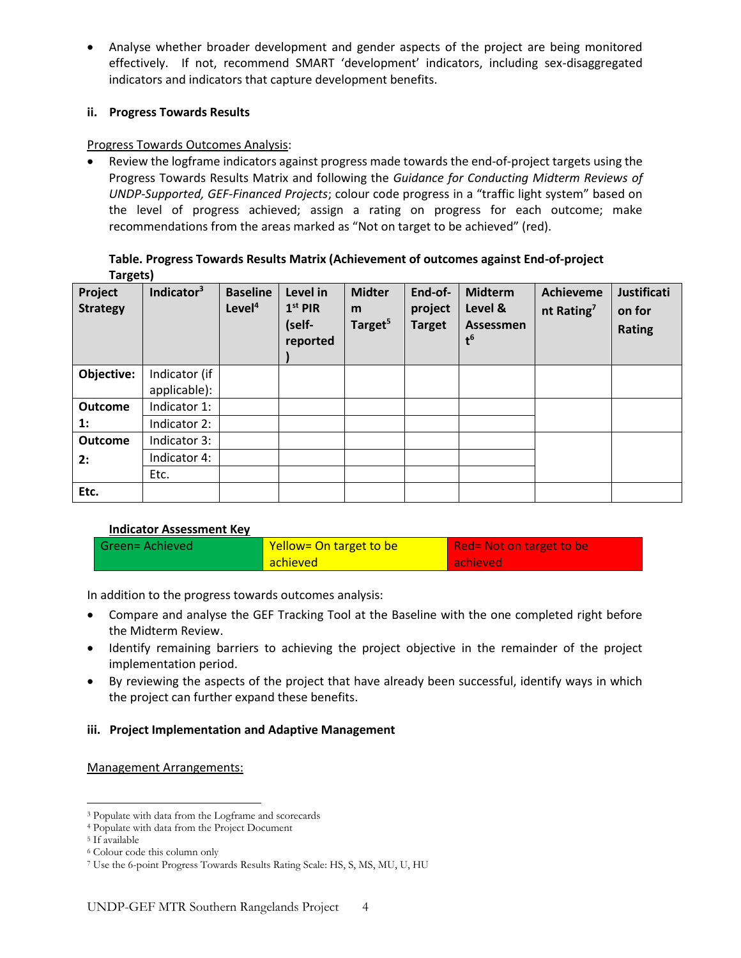• Analyse whether broader development and gender aspects of the project are being monitored effectively. If not, recommend SMART 'development' indicators, including sex-disaggregated indicators and indicators that capture development benefits.

### **ii. Progress Towards Results**

### Progress Towards Outcomes Analysis:

• Review the logframe indicators against progress made towards the end-of-project targets using the Progress Towards Results Matrix and following the *Guidance for Conducting Midterm Reviews of UNDP-Supported, GEF-Financed Projects*; colour code progress in a "traffic light system" based on the level of progress achieved; assign a rating on progress for each outcome; make recommendations from the areas marked as "Not on target to be achieved" (red).

### **Table. Progress Towards Results Matrix (Achievement of outcomes against End-of-project Targets)**

| Project<br><b>Strategy</b> | Indicator <sup>3</sup> | <b>Baseline</b><br>Level <sup>4</sup> | Level in<br>$1st$ PIR<br>(self-<br>reported | <b>Midter</b><br>m<br>Target <sup>5</sup> | End-of-<br>project<br><b>Target</b> | <b>Midterm</b><br>Level &<br>Assessmen<br>$t^6$ | <b>Achieveme</b><br>nt Rating <sup>7</sup> | <b>Justificati</b><br>on for<br><b>Rating</b> |
|----------------------------|------------------------|---------------------------------------|---------------------------------------------|-------------------------------------------|-------------------------------------|-------------------------------------------------|--------------------------------------------|-----------------------------------------------|
| Objective:                 | Indicator (if          |                                       |                                             |                                           |                                     |                                                 |                                            |                                               |
|                            | applicable):           |                                       |                                             |                                           |                                     |                                                 |                                            |                                               |
| <b>Outcome</b>             | Indicator 1:           |                                       |                                             |                                           |                                     |                                                 |                                            |                                               |
| $\mathbf{1}$ :             | Indicator 2:           |                                       |                                             |                                           |                                     |                                                 |                                            |                                               |
| <b>Outcome</b>             | Indicator 3:           |                                       |                                             |                                           |                                     |                                                 |                                            |                                               |
| 2:                         | Indicator 4:           |                                       |                                             |                                           |                                     |                                                 |                                            |                                               |
|                            | Etc.                   |                                       |                                             |                                           |                                     |                                                 |                                            |                                               |
| Etc.                       |                        |                                       |                                             |                                           |                                     |                                                 |                                            |                                               |

## **Indicator Assessment Key**

| Green= Achieved | Yellow= On target to be | Red = Not on target to be |
|-----------------|-------------------------|---------------------------|
|                 | <b>achieved</b>         | achieved                  |

In addition to the progress towards outcomes analysis:

- Compare and analyse the GEF Tracking Tool at the Baseline with the one completed right before the Midterm Review.
- Identify remaining barriers to achieving the project objective in the remainder of the project implementation period.
- By reviewing the aspects of the project that have already been successful, identify ways in which the project can further expand these benefits.

## **iii. Project Implementation and Adaptive Management**

### Management Arrangements:

 $\overline{\phantom{a}}$ <sup>3</sup> Populate with data from the Logframe and scorecards

<sup>4</sup> Populate with data from the Project Document

<sup>5</sup> If available

<sup>6</sup> Colour code this column only

<sup>7</sup> Use the 6-point Progress Towards Results Rating Scale: HS, S, MS, MU, U, HU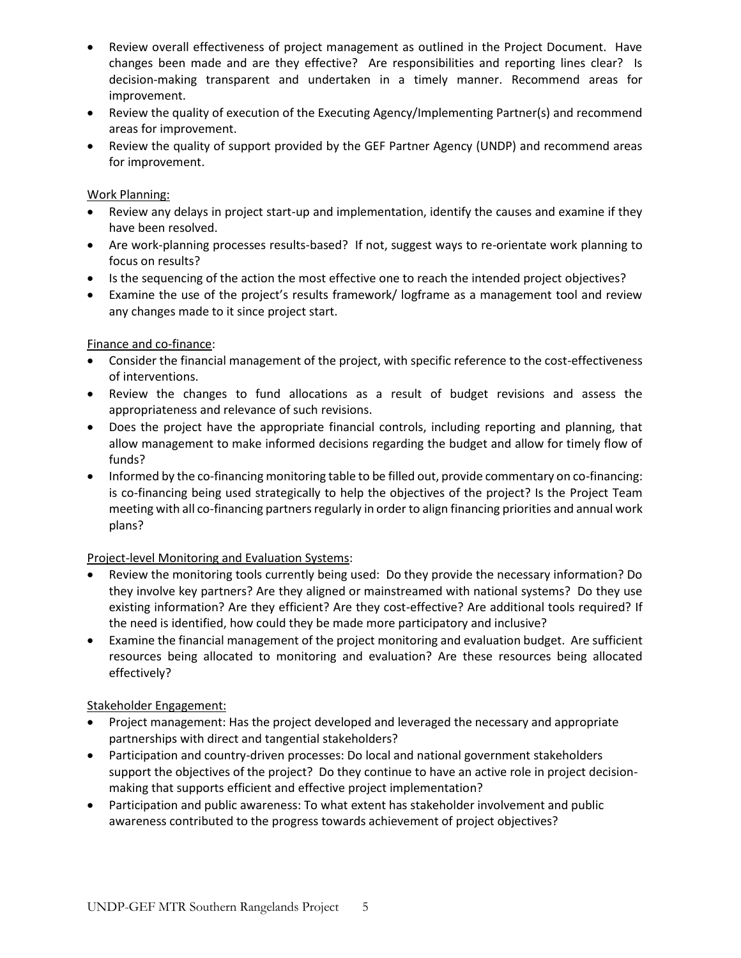- Review overall effectiveness of project management as outlined in the Project Document. Have changes been made and are they effective? Are responsibilities and reporting lines clear? Is decision-making transparent and undertaken in a timely manner. Recommend areas for improvement.
- Review the quality of execution of the Executing Agency/Implementing Partner(s) and recommend areas for improvement.
- Review the quality of support provided by the GEF Partner Agency (UNDP) and recommend areas for improvement.

### Work Planning:

- Review any delays in project start-up and implementation, identify the causes and examine if they have been resolved.
- Are work-planning processes results-based? If not, suggest ways to re-orientate work planning to focus on results?
- Is the sequencing of the action the most effective one to reach the intended project objectives?
- Examine the use of the project's results framework/ logframe as a management tool and review any changes made to it since project start.

### Finance and co-finance:

- Consider the financial management of the project, with specific reference to the cost-effectiveness of interventions.
- Review the changes to fund allocations as a result of budget revisions and assess the appropriateness and relevance of such revisions.
- Does the project have the appropriate financial controls, including reporting and planning, that allow management to make informed decisions regarding the budget and allow for timely flow of funds?
- Informed by the co-financing monitoring table to be filled out, provide commentary on co-financing: is co-financing being used strategically to help the objectives of the project? Is the Project Team meeting with all co-financing partners regularly in order to align financing priorities and annual work plans?

## Project-level Monitoring and Evaluation Systems:

- Review the monitoring tools currently being used: Do they provide the necessary information? Do they involve key partners? Are they aligned or mainstreamed with national systems? Do they use existing information? Are they efficient? Are they cost-effective? Are additional tools required? If the need is identified, how could they be made more participatory and inclusive?
- Examine the financial management of the project monitoring and evaluation budget. Are sufficient resources being allocated to monitoring and evaluation? Are these resources being allocated effectively?

## Stakeholder Engagement:

- Project management: Has the project developed and leveraged the necessary and appropriate partnerships with direct and tangential stakeholders?
- Participation and country-driven processes: Do local and national government stakeholders support the objectives of the project? Do they continue to have an active role in project decisionmaking that supports efficient and effective project implementation?
- Participation and public awareness: To what extent has stakeholder involvement and public awareness contributed to the progress towards achievement of project objectives?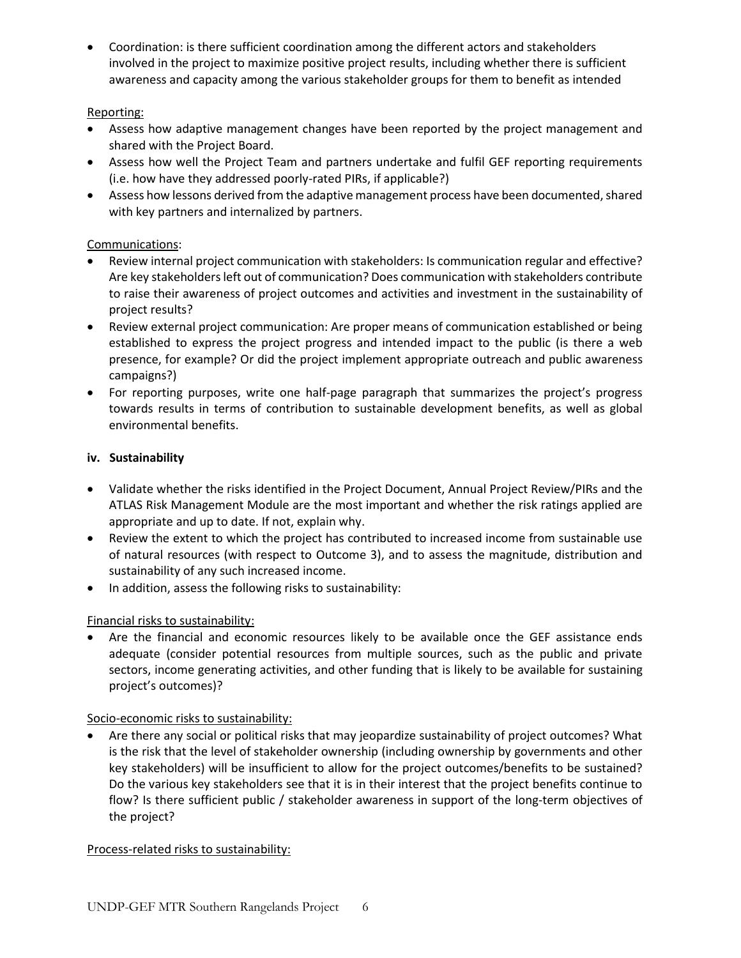• Coordination: is there sufficient coordination among the different actors and stakeholders involved in the project to maximize positive project results, including whether there is sufficient awareness and capacity among the various stakeholder groups for them to benefit as intended

## Reporting:

- Assess how adaptive management changes have been reported by the project management and shared with the Project Board.
- Assess how well the Project Team and partners undertake and fulfil GEF reporting requirements (i.e. how have they addressed poorly-rated PIRs, if applicable?)
- Assess how lessons derived from the adaptive management process have been documented, shared with key partners and internalized by partners.

## Communications:

- Review internal project communication with stakeholders: Is communication regular and effective? Are key stakeholders left out of communication? Does communication with stakeholders contribute to raise their awareness of project outcomes and activities and investment in the sustainability of project results?
- Review external project communication: Are proper means of communication established or being established to express the project progress and intended impact to the public (is there a web presence, for example? Or did the project implement appropriate outreach and public awareness campaigns?)
- For reporting purposes, write one half-page paragraph that summarizes the project's progress towards results in terms of contribution to sustainable development benefits, as well as global environmental benefits.

## **iv. Sustainability**

- Validate whether the risks identified in the Project Document, Annual Project Review/PIRs and the ATLAS Risk Management Module are the most important and whether the risk ratings applied are appropriate and up to date. If not, explain why.
- Review the extent to which the project has contributed to increased income from sustainable use of natural resources (with respect to Outcome 3), and to assess the magnitude, distribution and sustainability of any such increased income.
- In addition, assess the following risks to sustainability:

# Financial risks to sustainability:

• Are the financial and economic resources likely to be available once the GEF assistance ends adequate (consider potential resources from multiple sources, such as the public and private sectors, income generating activities, and other funding that is likely to be available for sustaining project's outcomes)?

## Socio-economic risks to sustainability:

• Are there any social or political risks that may jeopardize sustainability of project outcomes? What is the risk that the level of stakeholder ownership (including ownership by governments and other key stakeholders) will be insufficient to allow for the project outcomes/benefits to be sustained? Do the various key stakeholders see that it is in their interest that the project benefits continue to flow? Is there sufficient public / stakeholder awareness in support of the long-term objectives of the project?

## Process-related risks to sustainability: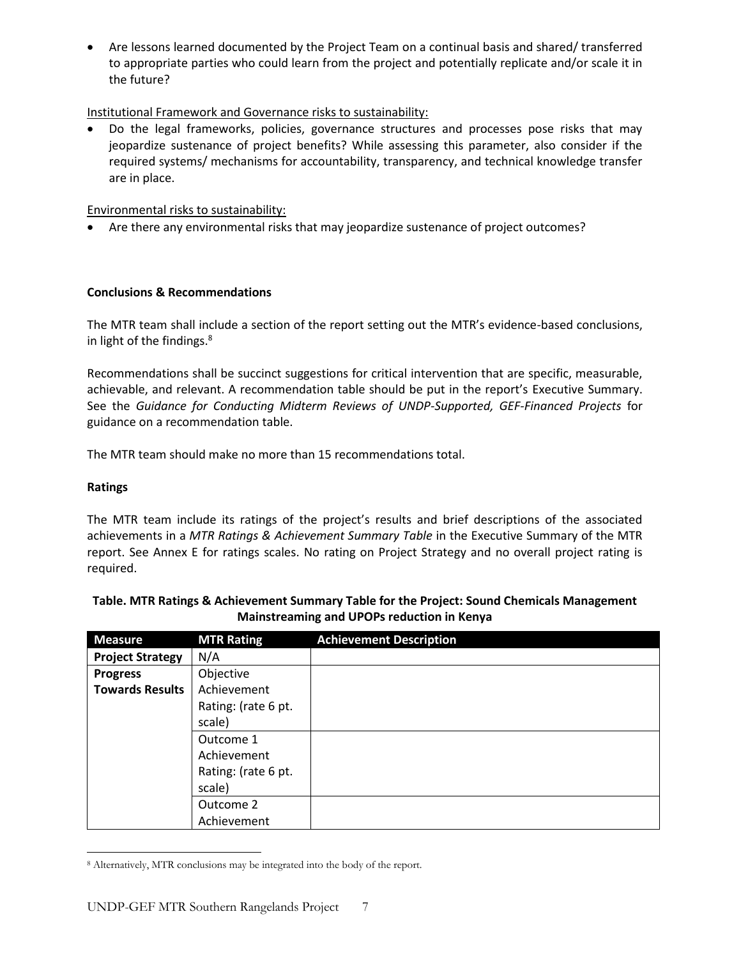• Are lessons learned documented by the Project Team on a continual basis and shared/ transferred to appropriate parties who could learn from the project and potentially replicate and/or scale it in the future?

### Institutional Framework and Governance risks to sustainability:

• Do the legal frameworks, policies, governance structures and processes pose risks that may jeopardize sustenance of project benefits? While assessing this parameter, also consider if the required systems/ mechanisms for accountability, transparency, and technical knowledge transfer are in place.

### Environmental risks to sustainability:

• Are there any environmental risks that may jeopardize sustenance of project outcomes?

## **Conclusions & Recommendations**

The MTR team shall include a section of the report setting out the MTR's evidence-based conclusions, in light of the findings.<sup>8</sup>

Recommendations shall be succinct suggestions for critical intervention that are specific, measurable, achievable, and relevant. A recommendation table should be put in the report's Executive Summary. See the *Guidance for Conducting Midterm Reviews of UNDP-Supported, GEF-Financed Projects* for guidance on a recommendation table.

The MTR team should make no more than 15 recommendations total.

### **Ratings**

The MTR team include its ratings of the project's results and brief descriptions of the associated achievements in a *MTR Ratings & Achievement Summary Table* in the Executive Summary of the MTR report. See Annex E for ratings scales. No rating on Project Strategy and no overall project rating is required.

| <b>Measure</b>          | <b>MTR Rating</b>   | <b>Achievement Description</b> |
|-------------------------|---------------------|--------------------------------|
| <b>Project Strategy</b> | N/A                 |                                |
| <b>Progress</b>         | Objective           |                                |
| <b>Towards Results</b>  | Achievement         |                                |
|                         | Rating: (rate 6 pt. |                                |
|                         | scale)              |                                |
|                         | Outcome 1           |                                |
|                         | Achievement         |                                |
|                         | Rating: (rate 6 pt. |                                |
|                         | scale)              |                                |
|                         | Outcome 2           |                                |
|                         | Achievement         |                                |

### **Table. MTR Ratings & Achievement Summary Table for the Project: Sound Chemicals Management Mainstreaming and UPOPs reduction in Kenya**

 $\overline{\phantom{a}}$ <sup>8</sup> Alternatively, MTR conclusions may be integrated into the body of the report.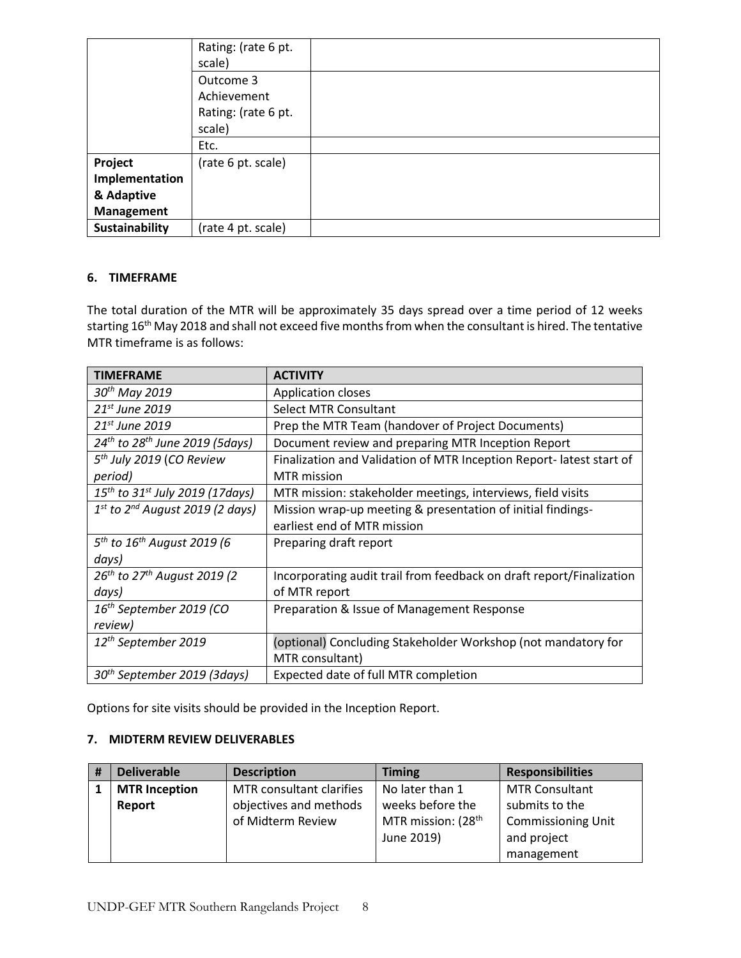|                | Rating: (rate 6 pt. |  |
|----------------|---------------------|--|
|                | scale)              |  |
|                | Outcome 3           |  |
|                | Achievement         |  |
|                | Rating: (rate 6 pt. |  |
|                | scale)              |  |
|                | Etc.                |  |
| Project        | (rate 6 pt. scale)  |  |
| Implementation |                     |  |
| & Adaptive     |                     |  |
| Management     |                     |  |
| Sustainability | (rate 4 pt. scale)  |  |

### **6. TIMEFRAME**

The total duration of the MTR will be approximately 35 days spread over a time period of 12 weeks starting 16<sup>th</sup> May 2018 and shall not exceed five months from when the consultant is hired. The tentative MTR timeframe is as follows:

| <b>TIMEFRAME</b>                                     | <b>ACTIVITY</b>                                                      |
|------------------------------------------------------|----------------------------------------------------------------------|
| 30 <sup>th</sup> May 2019                            | <b>Application closes</b>                                            |
| $21st$ June 2019                                     | <b>Select MTR Consultant</b>                                         |
| $21st$ June 2019                                     | Prep the MTR Team (handover of Project Documents)                    |
| $24^{th}$ to $28^{th}$ June 2019 (5days)             | Document review and preparing MTR Inception Report                   |
| 5 <sup>th</sup> July 2019 (CO Review                 | Finalization and Validation of MTR Inception Report-latest start of  |
| period)                                              | <b>MTR</b> mission                                                   |
| $15^{th}$ to 31st July 2019 (17days)                 | MTR mission: stakeholder meetings, interviews, field visits          |
| $1st$ to $2nd$ August 2019 (2 days)                  | Mission wrap-up meeting & presentation of initial findings-          |
|                                                      | earliest end of MTR mission                                          |
| 5 <sup>th</sup> to 16 <sup>th</sup> August 2019 (6   | Preparing draft report                                               |
| days)                                                |                                                                      |
| 26 <sup>th</sup> to 27 <sup>th</sup> August 2019 (2) | Incorporating audit trail from feedback on draft report/Finalization |
| days)                                                | of MTR report                                                        |
| 16 <sup>th</sup> September 2019 (CO                  | Preparation & Issue of Management Response                           |
| review)                                              |                                                                      |
| 12 <sup>th</sup> September 2019                      | (optional) Concluding Stakeholder Workshop (not mandatory for        |
|                                                      | MTR consultant)                                                      |
| 30 <sup>th</sup> September 2019 (3days)              | Expected date of full MTR completion                                 |

Options for site visits should be provided in the Inception Report.

## **7. MIDTERM REVIEW DELIVERABLES**

| # | <b>Deliverable</b>   | <b>Description</b>       | <b>Timing</b>                  | <b>Responsibilities</b>   |
|---|----------------------|--------------------------|--------------------------------|---------------------------|
|   | <b>MTR Inception</b> | MTR consultant clarifies | No later than 1                | <b>MTR Consultant</b>     |
|   | Report               | objectives and methods   | weeks before the               | submits to the            |
|   |                      | of Midterm Review        | MTR mission: (28 <sup>th</sup> | <b>Commissioning Unit</b> |
|   |                      |                          | June 2019)                     | and project               |
|   |                      |                          |                                | management                |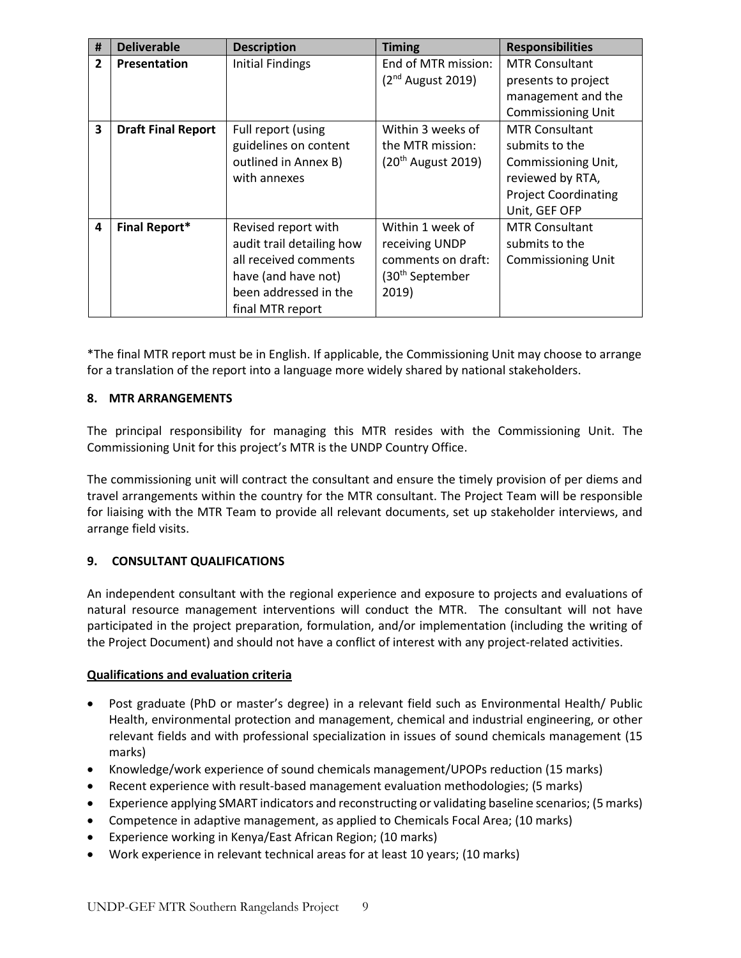| #              | <b>Deliverable</b>        | <b>Description</b>        | <b>Timing</b>               | <b>Responsibilities</b>     |
|----------------|---------------------------|---------------------------|-----------------------------|-----------------------------|
| $\overline{2}$ | Presentation              | <b>Initial Findings</b>   | End of MTR mission:         | <b>MTR Consultant</b>       |
|                |                           |                           | $(2nd$ August 2019)         | presents to project         |
|                |                           |                           |                             | management and the          |
|                |                           |                           |                             | <b>Commissioning Unit</b>   |
| 3              | <b>Draft Final Report</b> | Full report (using        | Within 3 weeks of           | <b>MTR Consultant</b>       |
|                |                           | guidelines on content     | the MTR mission:            | submits to the              |
|                |                           | outlined in Annex B)      | $(20th$ August 2019)        | Commissioning Unit,         |
|                |                           | with annexes              |                             | reviewed by RTA,            |
|                |                           |                           |                             | <b>Project Coordinating</b> |
|                |                           |                           |                             | Unit, GEF OFP               |
| 4              | <b>Final Report*</b>      | Revised report with       | Within 1 week of            | <b>MTR Consultant</b>       |
|                |                           | audit trail detailing how | receiving UNDP              | submits to the              |
|                |                           | all received comments     | comments on draft:          | <b>Commissioning Unit</b>   |
|                |                           | have (and have not)       | (30 <sup>th</sup> September |                             |
|                |                           | been addressed in the     | 2019)                       |                             |
|                |                           | final MTR report          |                             |                             |

\*The final MTR report must be in English. If applicable, the Commissioning Unit may choose to arrange for a translation of the report into a language more widely shared by national stakeholders.

### **8. MTR ARRANGEMENTS**

The principal responsibility for managing this MTR resides with the Commissioning Unit. The Commissioning Unit for this project's MTR is the UNDP Country Office.

The commissioning unit will contract the consultant and ensure the timely provision of per diems and travel arrangements within the country for the MTR consultant. The Project Team will be responsible for liaising with the MTR Team to provide all relevant documents, set up stakeholder interviews, and arrange field visits.

### **9. CONSULTANT QUALIFICATIONS**

An independent consultant with the regional experience and exposure to projects and evaluations of natural resource management interventions will conduct the MTR. The consultant will not have participated in the project preparation, formulation, and/or implementation (including the writing of the Project Document) and should not have a conflict of interest with any project-related activities.

### **Qualifications and evaluation criteria**

- Post graduate (PhD or master's degree) in a relevant field such as Environmental Health/ Public Health, environmental protection and management, chemical and industrial engineering, or other relevant fields and with professional specialization in issues of sound chemicals management (15 marks)
- Knowledge/work experience of sound chemicals management/UPOPs reduction (15 marks)
- Recent experience with result-based management evaluation methodologies; (5 marks)
- Experience applying SMART indicators and reconstructing or validating baseline scenarios; (5 marks)
- Competence in adaptive management, as applied to Chemicals Focal Area; (10 marks)
- Experience working in Kenya/East African Region; (10 marks)
- Work experience in relevant technical areas for at least 10 years; (10 marks)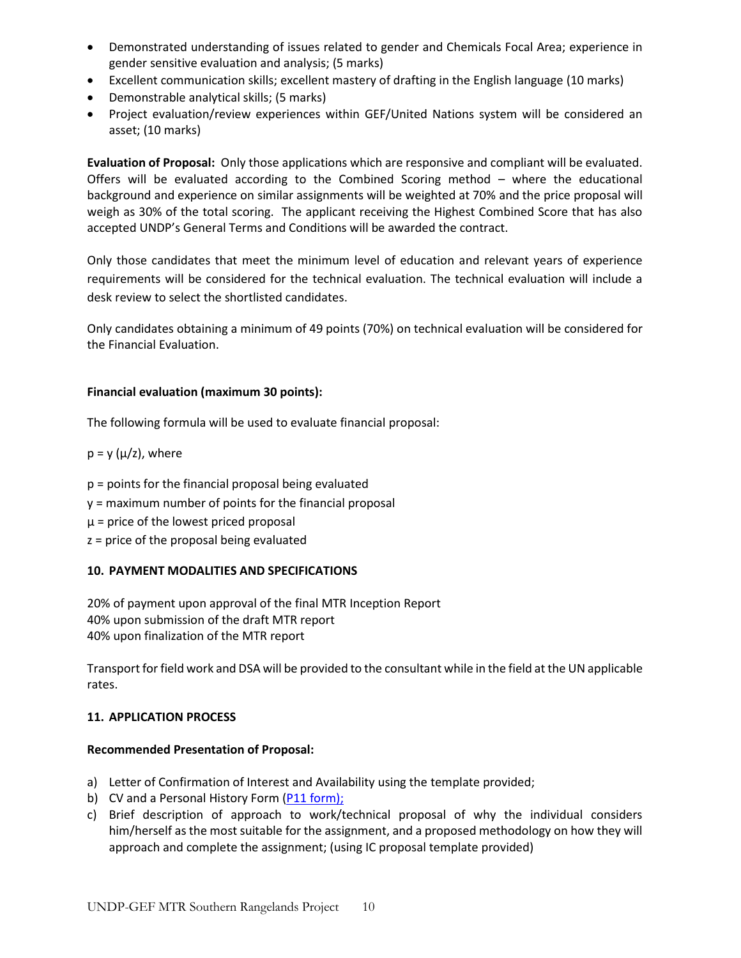- Demonstrated understanding of issues related to gender and Chemicals Focal Area; experience in gender sensitive evaluation and analysis; (5 marks)
- Excellent communication skills; excellent mastery of drafting in the English language (10 marks)
- Demonstrable analytical skills; (5 marks)
- Project evaluation/review experiences within GEF/United Nations system will be considered an asset; (10 marks)

**Evaluation of Proposal:** Only those applications which are responsive and compliant will be evaluated. Offers will be evaluated according to the Combined Scoring method – where the educational background and experience on similar assignments will be weighted at 70% and the price proposal will weigh as 30% of the total scoring. The applicant receiving the Highest Combined Score that has also accepted UNDP's General Terms and Conditions will be awarded the contract.

Only those candidates that meet the minimum level of education and relevant years of experience requirements will be considered for the technical evaluation. The technical evaluation will include a desk review to select the shortlisted candidates.

Only candidates obtaining a minimum of 49 points (70%) on technical evaluation will be considered for the Financial Evaluation.

### **Financial evaluation (maximum 30 points):**

The following formula will be used to evaluate financial proposal:

- $p = y (\mu/z)$ , where
- p = points for the financial proposal being evaluated y = maximum number of points for the financial proposal  $\mu$  = price of the lowest priced proposal z = price of the proposal being evaluated

## **10. PAYMENT MODALITIES AND SPECIFICATIONS**

20% of payment upon approval of the final MTR Inception Report 40% upon submission of the draft MTR report 40% upon finalization of the MTR report

Transport for field work and DSA will be provided to the consultant while in the field at the UN applicable rates.

### **11. APPLICATION PROCESS**

### **Recommended Presentation of Proposal:**

- a) Letter of Confirmation of Interest and Availability using the template provided;
- b) CV and a Personal History Form [\(P11 form\)](http://www.undp.org/content/dam/undp/library/corporate/Careers/P11_Personal_history_form.doc);
- c) Brief description of approach to work/technical proposal of why the individual considers him/herself as the most suitable for the assignment, and a proposed methodology on how they will approach and complete the assignment; (using IC proposal template provided)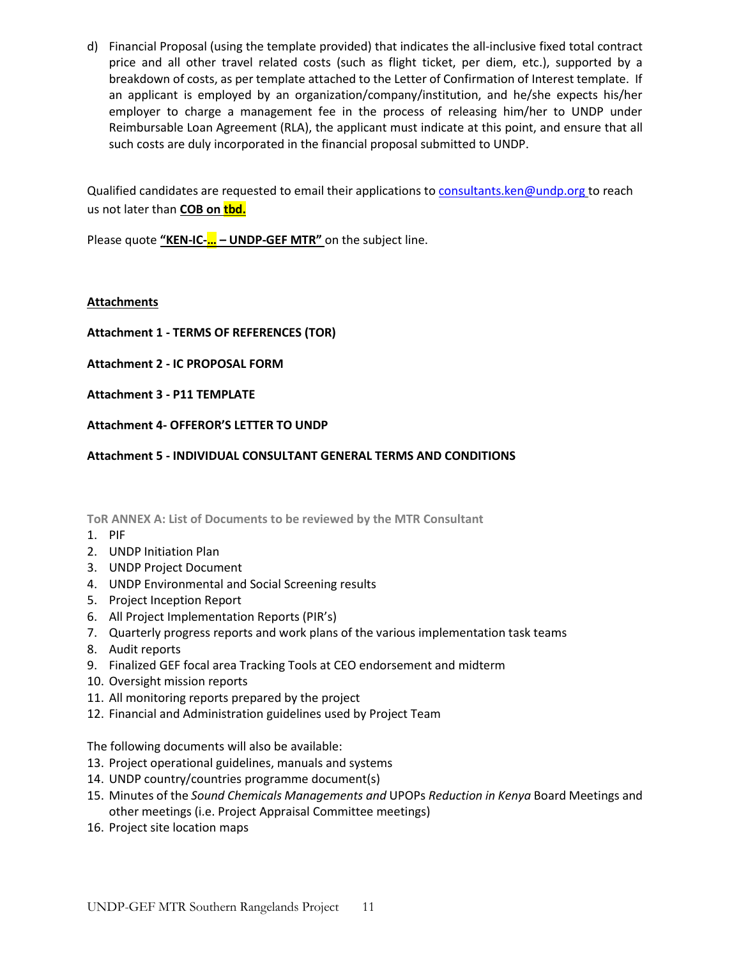d) Financial Proposal (using the template provided) that indicates the all-inclusive fixed total contract price and all other travel related costs (such as flight ticket, per diem, etc.), supported by a breakdown of costs, as per template attached to the Letter of Confirmation of Interest template. If an applicant is employed by an organization/company/institution, and he/she expects his/her employer to charge a management fee in the process of releasing him/her to UNDP under Reimbursable Loan Agreement (RLA), the applicant must indicate at this point, and ensure that all such costs are duly incorporated in the financial proposal submitted to UNDP.

Qualified candidates are requested to email their applications t[o consultants.ken@undp.org](mailto:consultants.ken@undp.org) to reach us not later than **COB on tbd.**

Please quote **"KEN-IC-… – UNDP-GEF MTR"** on the subject line.

### **Attachments**

- **Attachment 1 - TERMS OF REFERENCES (TOR)**
- **Attachment 2 - IC PROPOSAL FORM**
- **Attachment 3 - P11 TEMPLATE**
- **Attachment 4- OFFEROR'S LETTER TO UNDP**

**Attachment 5 - INDIVIDUAL CONSULTANT GENERAL TERMS AND CONDITIONS** 

**ToR ANNEX A: List of Documents to be reviewed by the MTR Consultant**

- 1. PIF
- 2. UNDP Initiation Plan
- 3. UNDP Project Document
- 4. UNDP Environmental and Social Screening results
- 5. Project Inception Report
- 6. All Project Implementation Reports (PIR's)
- 7. Quarterly progress reports and work plans of the various implementation task teams
- 8. Audit reports
- 9. Finalized GEF focal area Tracking Tools at CEO endorsement and midterm
- 10. Oversight mission reports
- 11. All monitoring reports prepared by the project
- 12. Financial and Administration guidelines used by Project Team

The following documents will also be available:

- 13. Project operational guidelines, manuals and systems
- 14. UNDP country/countries programme document(s)
- 15. Minutes of the *Sound Chemicals Managements and* UPOPs *Reduction in Kenya* Board Meetings and other meetings (i.e. Project Appraisal Committee meetings)
- 16. Project site location maps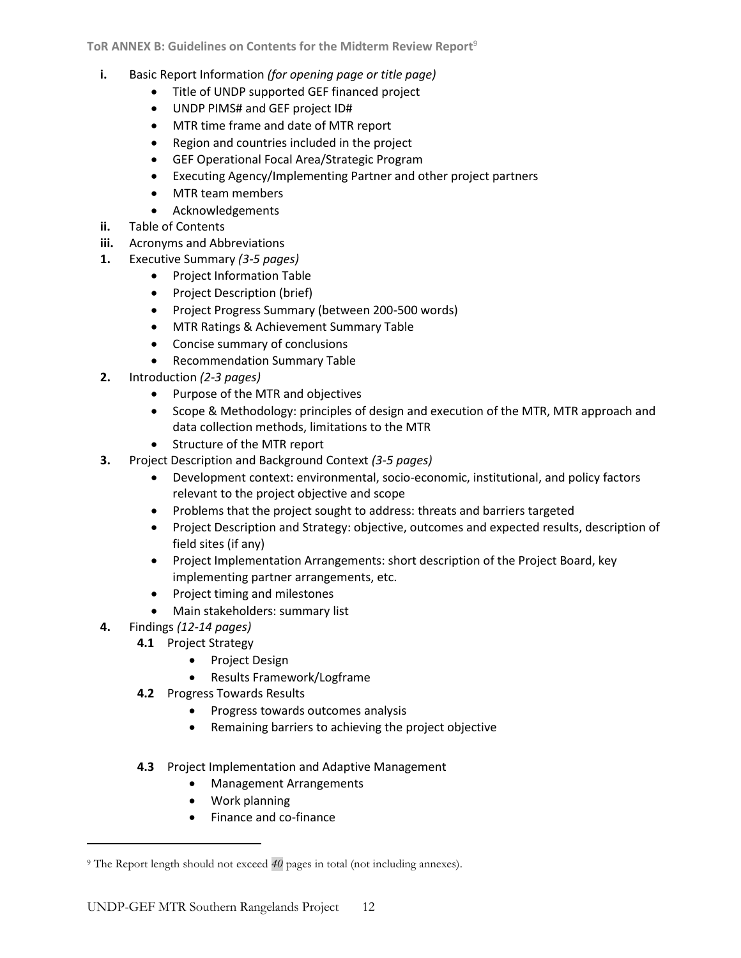- **i.** Basic Report Information *(for opening page or title page)*
	- Title of UNDP supported GEF financed project
	- UNDP PIMS# and GEF project ID#
	- MTR time frame and date of MTR report
	- Region and countries included in the project
	- GEF Operational Focal Area/Strategic Program
	- Executing Agency/Implementing Partner and other project partners
	- MTR team members
	- Acknowledgements
- **ii.** Table of Contents
- **iii.** Acronyms and Abbreviations
- **1.** Executive Summary *(3-5 pages)*
	- Project Information Table
	- Project Description (brief)
	- Project Progress Summary (between 200-500 words)
	- MTR Ratings & Achievement Summary Table
	- Concise summary of conclusions
	- Recommendation Summary Table
- **2.** Introduction *(2-3 pages)*
	- Purpose of the MTR and objectives
	- Scope & Methodology: principles of design and execution of the MTR, MTR approach and data collection methods, limitations to the MTR
	- Structure of the MTR report
- **3.** Project Description and Background Context *(3-5 pages)*
	- Development context: environmental, socio-economic, institutional, and policy factors relevant to the project objective and scope
	- Problems that the project sought to address: threats and barriers targeted
	- Project Description and Strategy: objective, outcomes and expected results, description of field sites (if any)
	- Project Implementation Arrangements: short description of the Project Board, key implementing partner arrangements, etc.
	- Project timing and milestones
	- Main stakeholders: summary list
- **4.** Findings *(12-14 pages)*

 $\overline{\phantom{a}}$ 

- **4.1** Project Strategy
	- Project Design
	- Results Framework/Logframe
- **4.2** Progress Towards Results
	- Progress towards outcomes analysis
	- Remaining barriers to achieving the project objective
- **4.3** Project Implementation and Adaptive Management
	- Management Arrangements
	- Work planning
	- Finance and co-finance

<sup>&</sup>lt;sup>9</sup> The Report length should not exceed  $40$  pages in total (not including annexes).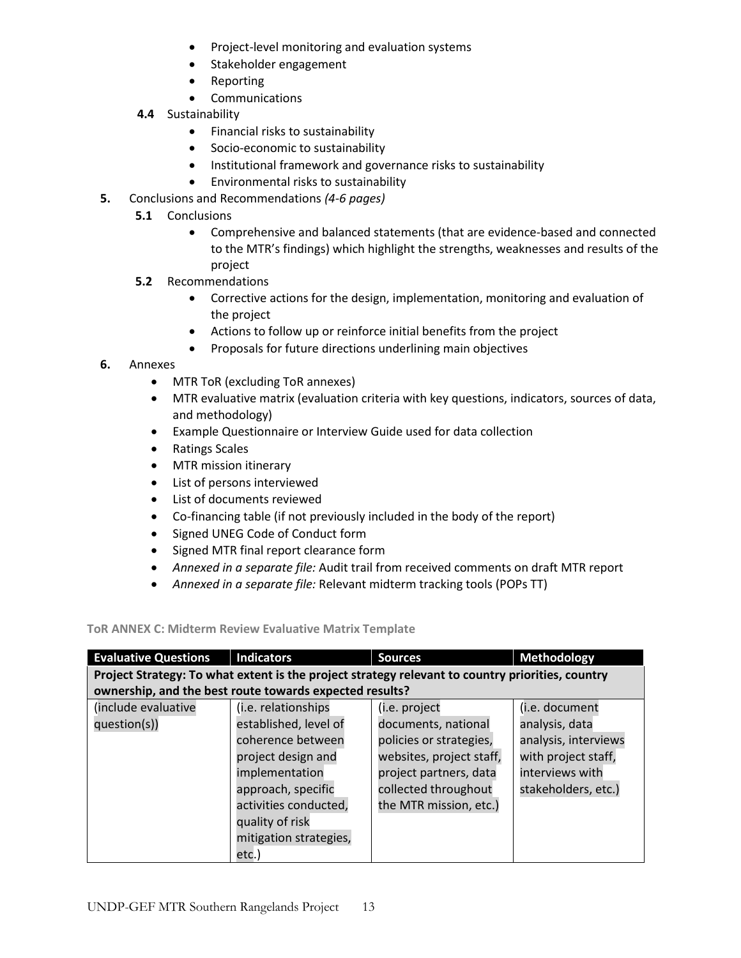- Project-level monitoring and evaluation systems
- Stakeholder engagement
- Reporting
- Communications
- **4.4** Sustainability
	- Financial risks to sustainability
	- Socio-economic to sustainability
	- Institutional framework and governance risks to sustainability
	- Environmental risks to sustainability
- **5.** Conclusions and Recommendations *(4-6 pages)*
	- **5.1**  Conclusions
		- Comprehensive and balanced statements (that are evidence-based and connected to the MTR's findings) which highlight the strengths, weaknesses and results of the project
	- **5.2** Recommendations
		- Corrective actions for the design, implementation, monitoring and evaluation of the project
		- Actions to follow up or reinforce initial benefits from the project
		- Proposals for future directions underlining main objectives

### **6.** Annexes

- MTR ToR (excluding ToR annexes)
- MTR evaluative matrix (evaluation criteria with key questions, indicators, sources of data, and methodology)
- Example Questionnaire or Interview Guide used for data collection
- Ratings Scales
- MTR mission itinerary
- List of persons interviewed
- List of documents reviewed
- Co-financing table (if not previously included in the body of the report)
- Signed UNEG Code of Conduct form
- Signed MTR final report clearance form
- *Annexed in a separate file:* Audit trail from received comments on draft MTR report
- *Annexed in a separate file:* Relevant midterm tracking tools (POPs TT)

### **ToR ANNEX C: Midterm Review Evaluative Matrix Template**

| <b>Evaluative Questions</b> | <b>Indicators</b>                                                                                | <b>Sources</b>           | <b>Methodology</b>   |  |  |  |  |  |
|-----------------------------|--------------------------------------------------------------------------------------------------|--------------------------|----------------------|--|--|--|--|--|
|                             | Project Strategy: To what extent is the project strategy relevant to country priorities, country |                          |                      |  |  |  |  |  |
|                             | ownership, and the best route towards expected results?                                          |                          |                      |  |  |  |  |  |
| include evaluative          | (i.e. relationships                                                                              | (i.e. project            | (i.e. document       |  |  |  |  |  |
| question(s))                | established, level of                                                                            | documents, national      | analysis, data       |  |  |  |  |  |
|                             | coherence between                                                                                | policies or strategies,  | analysis, interviews |  |  |  |  |  |
|                             | project design and                                                                               | websites, project staff, | with project staff,  |  |  |  |  |  |
|                             | implementation                                                                                   | project partners, data   | interviews with      |  |  |  |  |  |
|                             | approach, specific                                                                               | collected throughout     | stakeholders, etc.)  |  |  |  |  |  |
|                             | activities conducted,                                                                            | the MTR mission, etc.)   |                      |  |  |  |  |  |
|                             | quality of risk                                                                                  |                          |                      |  |  |  |  |  |
|                             | mitigation strategies,                                                                           |                          |                      |  |  |  |  |  |
|                             | etc.)                                                                                            |                          |                      |  |  |  |  |  |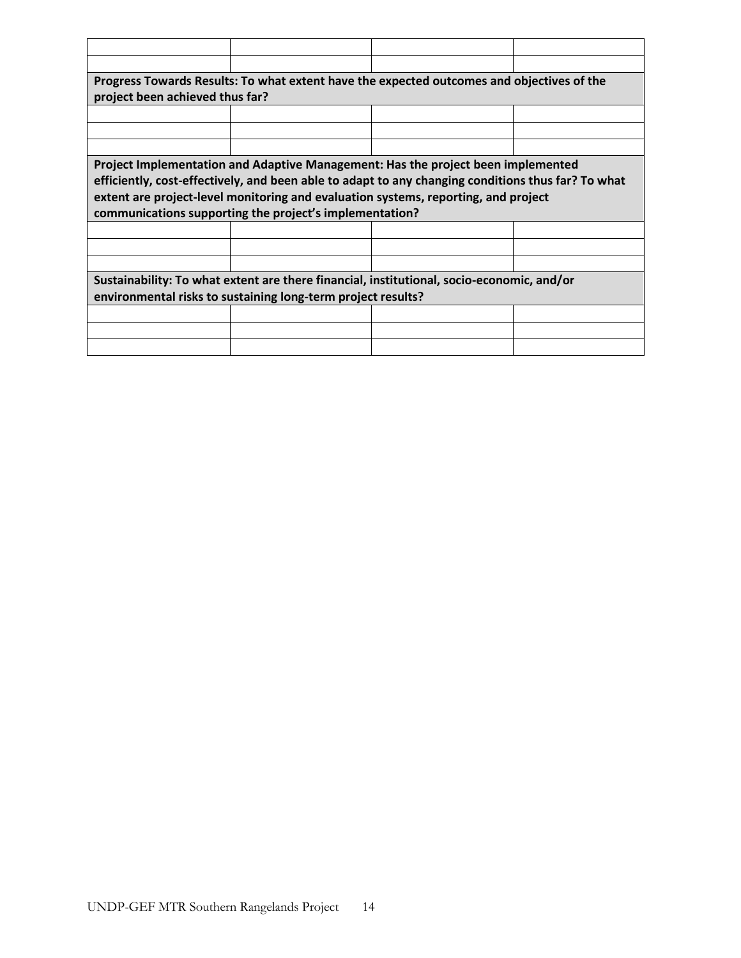|                                                              | Progress Towards Results: To what extent have the expected outcomes and objectives of the          |  |  |  |  |
|--------------------------------------------------------------|----------------------------------------------------------------------------------------------------|--|--|--|--|
| project been achieved thus far?                              |                                                                                                    |  |  |  |  |
|                                                              |                                                                                                    |  |  |  |  |
|                                                              |                                                                                                    |  |  |  |  |
|                                                              |                                                                                                    |  |  |  |  |
|                                                              | Project Implementation and Adaptive Management: Has the project been implemented                   |  |  |  |  |
|                                                              | efficiently, cost-effectively, and been able to adapt to any changing conditions thus far? To what |  |  |  |  |
|                                                              | extent are project-level monitoring and evaluation systems, reporting, and project                 |  |  |  |  |
|                                                              | communications supporting the project's implementation?                                            |  |  |  |  |
|                                                              |                                                                                                    |  |  |  |  |
|                                                              |                                                                                                    |  |  |  |  |
|                                                              |                                                                                                    |  |  |  |  |
|                                                              | Sustainability: To what extent are there financial, institutional, socio-economic, and/or          |  |  |  |  |
| environmental risks to sustaining long-term project results? |                                                                                                    |  |  |  |  |
|                                                              |                                                                                                    |  |  |  |  |
|                                                              |                                                                                                    |  |  |  |  |
|                                                              |                                                                                                    |  |  |  |  |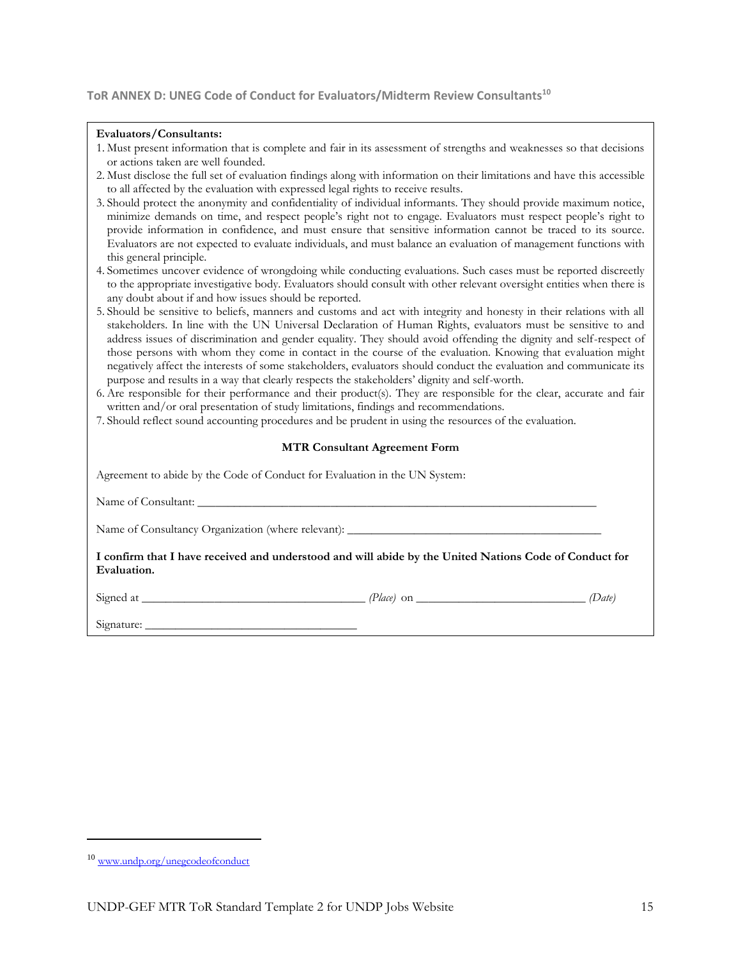#### **ToR ANNEX D: UNEG Code of Conduct for Evaluators/Midterm Review Consultants<sup>10</sup>**

#### **Evaluators/Consultants:**

| 1. Must present information that is complete and fair in its assessment of strengths and weaknesses so that decisions |  |  |  |
|-----------------------------------------------------------------------------------------------------------------------|--|--|--|
| or actions taken are well founded.                                                                                    |  |  |  |

- 2. Must disclose the full set of evaluation findings along with information on their limitations and have this accessible to all affected by the evaluation with expressed legal rights to receive results.
- 3. Should protect the anonymity and confidentiality of individual informants. They should provide maximum notice, minimize demands on time, and respect people's right not to engage. Evaluators must respect people's right to provide information in confidence, and must ensure that sensitive information cannot be traced to its source. Evaluators are not expected to evaluate individuals, and must balance an evaluation of management functions with this general principle.
- 4. Sometimes uncover evidence of wrongdoing while conducting evaluations. Such cases must be reported discreetly to the appropriate investigative body. Evaluators should consult with other relevant oversight entities when there is any doubt about if and how issues should be reported.
- 5. Should be sensitive to beliefs, manners and customs and act with integrity and honesty in their relations with all stakeholders. In line with the UN Universal Declaration of Human Rights, evaluators must be sensitive to and address issues of discrimination and gender equality. They should avoid offending the dignity and self-respect of those persons with whom they come in contact in the course of the evaluation. Knowing that evaluation might negatively affect the interests of some stakeholders, evaluators should conduct the evaluation and communicate its purpose and results in a way that clearly respects the stakeholders' dignity and self-worth.
- 6. Are responsible for their performance and their product(s). They are responsible for the clear, accurate and fair written and/or oral presentation of study limitations, findings and recommendations.
- 7. Should reflect sound accounting procedures and be prudent in using the resources of the evaluation.

#### **MTR Consultant Agreement Form**

| Agreement to abide by the Code of Conduct for Evaluation in the UN System:                                            |  |
|-----------------------------------------------------------------------------------------------------------------------|--|
|                                                                                                                       |  |
|                                                                                                                       |  |
| I confirm that I have received and understood and will abide by the United Nations Code of Conduct for<br>Evaluation. |  |
|                                                                                                                       |  |
|                                                                                                                       |  |

 $\overline{\phantom{a}}$ 

<sup>10</sup> [www.undp.org/unegcodeofconduct](http://www.undp.org/unegcodeofconduct)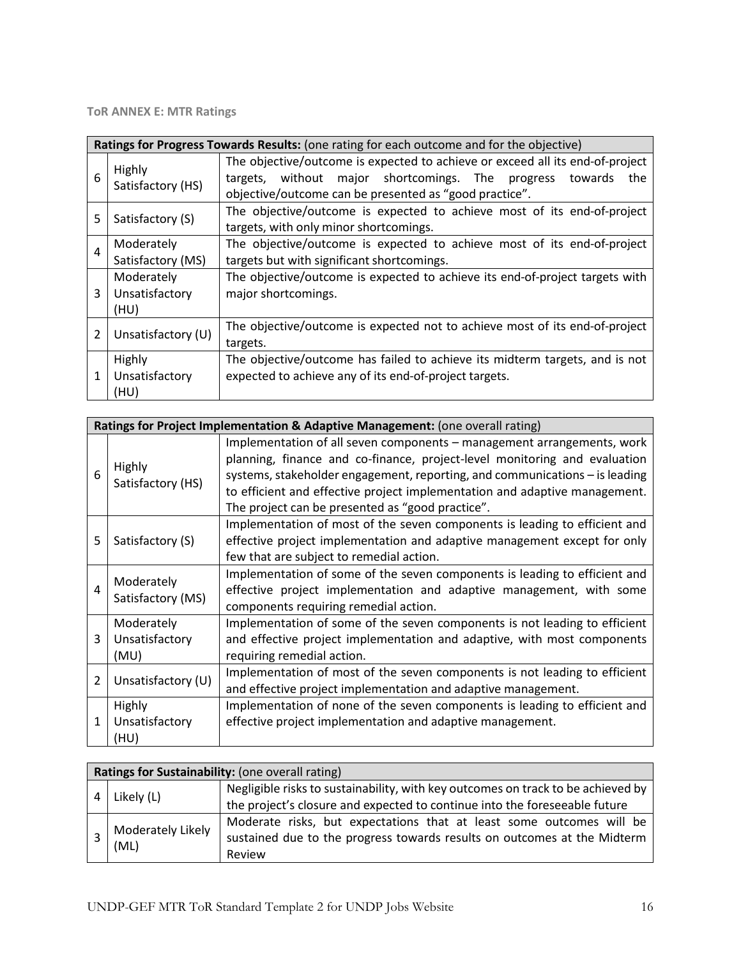**ToR ANNEX E: MTR Ratings**

|   | Ratings for Progress Towards Results: (one rating for each outcome and for the objective) |                                                                                                                                                                                                                      |  |  |  |  |
|---|-------------------------------------------------------------------------------------------|----------------------------------------------------------------------------------------------------------------------------------------------------------------------------------------------------------------------|--|--|--|--|
| 6 | Highly<br>Satisfactory (HS)                                                               | The objective/outcome is expected to achieve or exceed all its end-of-project<br>without major shortcomings. The<br>targets.<br>progress<br>towards<br>the<br>objective/outcome can be presented as "good practice". |  |  |  |  |
| 5 | Satisfactory (S)                                                                          | The objective/outcome is expected to achieve most of its end-of-project<br>targets, with only minor shortcomings.                                                                                                    |  |  |  |  |
| 4 | Moderately<br>Satisfactory (MS)                                                           | The objective/outcome is expected to achieve most of its end-of-project<br>targets but with significant shortcomings.                                                                                                |  |  |  |  |
| 3 | Moderately<br>Unsatisfactory<br>(HU)                                                      | The objective/outcome is expected to achieve its end-of-project targets with<br>major shortcomings.                                                                                                                  |  |  |  |  |
| 2 | Unsatisfactory (U)                                                                        | The objective/outcome is expected not to achieve most of its end-of-project<br>targets.                                                                                                                              |  |  |  |  |
| 1 | Highly<br>Unsatisfactory<br>(HU)                                                          | The objective/outcome has failed to achieve its midterm targets, and is not<br>expected to achieve any of its end-of-project targets.                                                                                |  |  |  |  |

|   | Ratings for Project Implementation & Adaptive Management: (one overall rating) |                                                                                                                                                                                                                                                                                                                                                                      |  |  |
|---|--------------------------------------------------------------------------------|----------------------------------------------------------------------------------------------------------------------------------------------------------------------------------------------------------------------------------------------------------------------------------------------------------------------------------------------------------------------|--|--|
| 6 | Highly<br>Satisfactory (HS)                                                    | Implementation of all seven components – management arrangements, work<br>planning, finance and co-finance, project-level monitoring and evaluation<br>systems, stakeholder engagement, reporting, and communications - is leading<br>to efficient and effective project implementation and adaptive management.<br>The project can be presented as "good practice". |  |  |
| 5 | Satisfactory (S)                                                               | Implementation of most of the seven components is leading to efficient and<br>effective project implementation and adaptive management except for only<br>few that are subject to remedial action.                                                                                                                                                                   |  |  |
| 4 | Moderately<br>Satisfactory (MS)                                                | Implementation of some of the seven components is leading to efficient and<br>effective project implementation and adaptive management, with some<br>components requiring remedial action.                                                                                                                                                                           |  |  |
| 3 | Moderately<br>Unsatisfactory<br>(MU)                                           | Implementation of some of the seven components is not leading to efficient<br>and effective project implementation and adaptive, with most components<br>requiring remedial action.                                                                                                                                                                                  |  |  |
| 2 | Unsatisfactory (U)                                                             | Implementation of most of the seven components is not leading to efficient<br>and effective project implementation and adaptive management.                                                                                                                                                                                                                          |  |  |
| 1 | <b>Highly</b><br>Unsatisfactory<br>(HU)                                        | Implementation of none of the seven components is leading to efficient and<br>effective project implementation and adaptive management.                                                                                                                                                                                                                              |  |  |

| Ratings for Sustainability: (one overall rating) |                                                                                  |  |  |  |
|--------------------------------------------------|----------------------------------------------------------------------------------|--|--|--|
| Likely (L)                                       | Negligible risks to sustainability, with key outcomes on track to be achieved by |  |  |  |
|                                                  | the project's closure and expected to continue into the foreseeable future       |  |  |  |
| Moderately Likely<br>(ML)                        | Moderate risks, but expectations that at least some outcomes will be             |  |  |  |
|                                                  | sustained due to the progress towards results on outcomes at the Midterm         |  |  |  |
|                                                  | Review                                                                           |  |  |  |